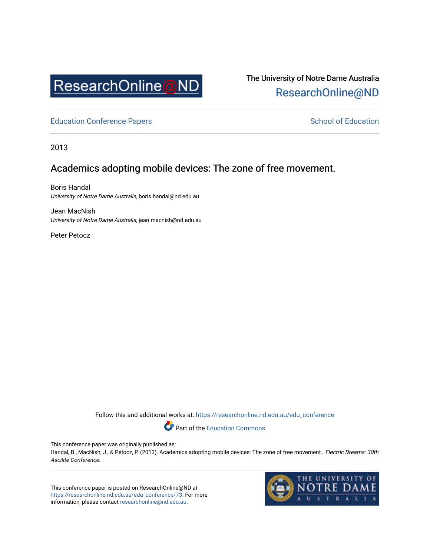

The University of Notre Dame Australia [ResearchOnline@ND](https://researchonline.nd.edu.au/) 

[Education Conference Papers](https://researchonline.nd.edu.au/edu_conference) **School of Education** School of Education

2013

# Academics adopting mobile devices: The zone of free movement.

Boris Handal University of Notre Dame Australia, boris.handal@nd.edu.au

Jean MacNish University of Notre Dame Australia, jean.macnish@nd.edu.au

Peter Petocz

Follow this and additional works at: [https://researchonline.nd.edu.au/edu\\_conference](https://researchonline.nd.edu.au/edu_conference?utm_source=researchonline.nd.edu.au%2Fedu_conference%2F73&utm_medium=PDF&utm_campaign=PDFCoverPages)

Part of the [Education Commons](http://network.bepress.com/hgg/discipline/784?utm_source=researchonline.nd.edu.au%2Fedu_conference%2F73&utm_medium=PDF&utm_campaign=PDFCoverPages) 

This conference paper was originally published as:

Handal, B., MacNish, J., & Petocz, P. (2013). Academics adopting mobile devices: The zone of free movement.. Electric Dreams: 30th Ascilite Conference.

This conference paper is posted on ResearchOnline@ND at [https://researchonline.nd.edu.au/edu\\_conference/73.](https://researchonline.nd.edu.au/edu_conference/73) For more information, please contact [researchonline@nd.edu.au.](mailto:researchonline@nd.edu.au)

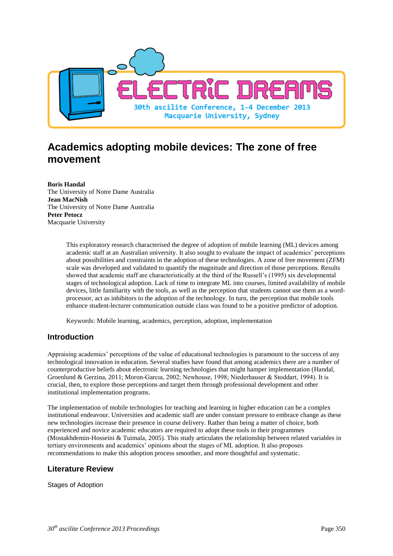

# **Academics adopting mobile devices: The zone of free movement**

**Boris Handal** The University of Notre Dame Australia **Jean MacNish** The University of Notre Dame Australia **Peter Petocz** Macquarie University

> This exploratory research characterised the degree of adoption of mobile learning (ML) devices among academic staff at an Australian university. It also sought to evaluate the impact of academics' perceptions about possibilities and constraints in the adoption of these technologies. A zone of free movement (ZFM) scale was developed and validated to quantify the magnitude and direction of those perceptions. Results showed that academic staff are characteristically at the third of the Russell's (1995) six developmental stages of technological adoption. Lack of time to integrate ML into courses, limited availability of mobile devices, little familiarity with the tools, as well as the perception that students cannot use them as a wordprocessor, act as inhibitors to the adoption of the technology. In turn, the perception that mobile tools enhance student-lecturer communication outside class was found to be a positive predictor of adoption.

Keywords: Mobile learning, academics, perception, adoption, implementation

## **Introduction**

Appraising academics' perceptions of the value of educational technologies is paramount to the success of any technological innovation in education. Several studies have found that among academics there are a number of counterproductive beliefs about electronic learning technologies that might hamper implementation (Handal, Groenlund & Gerzina, 2011; Moron-Garcıa, 2002; Newhouse, 1998; Niederhauser & Stoddart, 1994). It is crucial, then, to explore those perceptions and target them through professional development and other institutional implementation programs.

The implementation of mobile technologies for teaching and learning in higher education can be a complex institutional endeavour. Universities and academic staff are under constant pressure to embrace change as these new technologies increase their presence in course delivery. Rather than being a matter of choice, both experienced and novice academic educators are required to adopt these tools in their programmes (Mostakhdemin-Hosseini & Tuimala, 2005). This study articulates the relationship between related variables in tertiary environments and academics' opinions about the stages of ML adoption. It also proposes recommendations to make this adoption process smoother, and more thoughtful and systematic.

## **Literature Review**

Stages of Adoption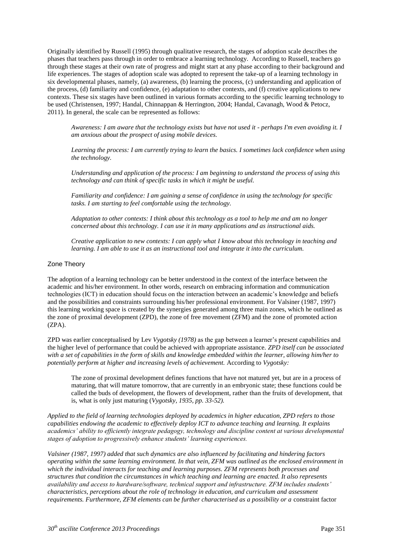Originally identified by Russell (1995) through qualitative research, the stages of adoption scale describes the phases that teachers pass through in order to embrace a learning technology. According to Russell, teachers go through these stages at their own rate of progress and might start at any phase according to their background and life experiences. The stages of adoption scale was adopted to represent the take-up of a learning technology in six developmental phases, namely, (a) awareness, (b) learning the process, (c) understanding and application of the process, (d) familiarity and confidence, (e) adaptation to other contexts, and (f) creative applications to new contexts. These six stages have been outlined in various formats according to the specific learning technology to be used (Christensen, 1997; Handal, Chinnappan & Herrington, 2004; Handal, Cavanagh, Wood & Petocz, 2011). In general, the scale can be represented as follows:

*Awareness: I am aware that the technology exists but have not used it - perhaps I'm even avoiding it. I am anxious about the prospect of using mobile devices.*

*Learning the process: I am currently trying to learn the basics. I sometimes lack confidence when using the technology.*

*Understanding and application of the process: I am beginning to understand the process of using this technology and can think of specific tasks in which it might be useful.*

*Familiarity and confidence: I am gaining a sense of confidence in using the technology for specific tasks. I am starting to feel comfortable using the technology.*

*Adaptation to other contexts: I think about this technology as a tool to help me and am no longer concerned about this technology. I can use it in many applications and as instructional aids.*

*Creative application to new contexts: I can apply what I know about this technology in teaching and learning. I am able to use it as an instructional tool and integrate it into the curriculum.*

#### Zone Theory

The adoption of a learning technology can be better understood in the context of the interface between the academic and his/her environment. In other words, research on embracing information and communication technologies (ICT) in education should focus on the interaction between an academic's knowledge and beliefs and the possibilities and constraints surrounding his/her professional environment. For Valsiner (1987, 1997) this learning working space is created by the synergies generated among three main zones, which he outlined as the zone of proximal development (ZPD), the zone of free movement (ZFM) and the zone of promoted action (ZPA).

ZPD was earlier conceptualised by Lev *Vygotsky (1978)* as the gap between a learner's present capabilities and the higher level of performance that could be achieved with appropriate assistance. *ZPD itself can be associated with a set of capabilities in the form of skills and knowledge embedded within the learner, allowing him/her to potentially perform at higher and increasing levels of achievement.* According to *Vygotsky:* 

The zone of proximal development defines functions that have not matured yet, but are in a process of maturing, that will mature tomorrow, that are currently in an embryonic state; these functions could be called the buds of development, the flowers of development, rather than the fruits of development, that is, what is only just maturing (*Vygotsky, 1935, pp. 33-52).*

*Applied to the field of learning technologies deployed by academics in higher education, ZPD refers to those capabilities endowing the academic to effectively deploy ICT to advance teaching and learning. It explains academics' ability to efficiently integrate pedagogy, technology and discipline content at various developmental stages of adoption to progressively enhance students' learning experiences.*

*Valsiner (1987, 1997) added that such dynamics are also influenced by facilitating and hindering factors operating within the same learning environment. In that vein, ZFM was outlined as the enclosed environment in which the individual interacts for teaching and learning purposes. ZFM represents both processes and structures that condition the circumstances in which teaching and learning are enacted. It also represents availability and access to hardware/software, technical support and infrastructure. ZFM includes students' characteristics, perceptions about the role of technology in education, and curriculum and assessment requirements. Furthermore, ZFM elements can be further characterised as a possibility or a constraint factor*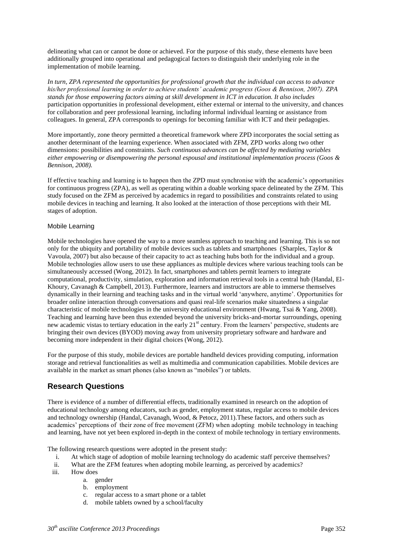delineating what can or cannot be done or achieved. For the purpose of this study, these elements have been additionally grouped into operational and pedagogical factors to distinguish their underlying role in the implementation of mobile learning.

*In turn, ZPA represented the opportunities for professional growth that the individual can access to advance his/her professional learning in order to achieve students' academic progress (Goos & Bennison, 2007). ZPA stands for those empowering factors aiming at skill development in ICT in education. It also includes*  participation opportunities in professional development, either external or internal to the university, and chances for collaboration and peer professional learning, including informal individual learning or assistance from colleagues. In general, ZPA corresponds to openings for becoming familiar with ICT and their pedagogies.

More importantly, zone theory permitted a theoretical framework where ZPD incorporates the social setting as another determinant of the learning experience. When associated with ZFM, ZPD works along two other dimensions: possibilities and constraints. *Such continuous advances can be affected by mediating variables either empowering or disempowering the personal espousal and institutional implementation process (Goos & Bennison, 2008).*

If effective teaching and learning is to happen then the ZPD must synchronise with the academic's opportunities for continuous progress (ZPA), as well as operating within a doable working space delineated by the ZFM. This study focused on the ZFM as perceived by academics in regard to possibilities and constraints related to using mobile devices in teaching and learning. It also looked at the interaction of those perceptions with their ML stages of adoption.

#### Mobile Learning

Mobile technologies have opened the way to a more seamless approach to teaching and learning. This is so not only for the ubiquity and portability of mobile devices such as tablets and smartphones (Sharples, Taylor & Vavoula, 2007) but also because of their capacity to act as teaching hubs both for the individual and a group. Mobile technologies allow users to use these appliances as multiple devices where various teaching tools can be simultaneously accessed (Wong, 2012). In fact, smartphones and tablets permit learners to integrate computational, productivity, simulation, exploration and information retrieval tools in a central hub (Handal, El-Khoury, Cavanagh & Campbell, 2013). Furthermore, learners and instructors are able to immerse themselves dynamically in their learning and teaching tasks and in the virtual world 'anywhere, anytime'. Opportunities for broader online interaction through conversations and quasi real-life scenarios make situatedness a singular characteristic of mobile technologies in the university educational environment (Hwang, Tsai & Yang, 2008). Teaching and learning have been thus extended beyond the university bricks-and-mortar surroundings, opening new academic vistas to tertiary education in the early 21<sup>st</sup> century. From the learners' perspective, students are bringing their own devices (BYOD) moving away from university proprietary software and hardware and becoming more independent in their digital choices (Wong, 2012).

For the purpose of this study, mobile devices are portable handheld devices providing computing, information storage and retrieval functionalities as well as multimedia and communication capabilities. Mobile devices are available in the market as smart phones (also known as "mobiles") or tablets.

# **Research Questions**

There is evidence of a number of differential effects, traditionally examined in research on the adoption of educational technology among educators, such as gender, employment status, regular access to mobile devices and technology ownership (Handal, Cavanagh, Wood, & Petocz, 2011).These factors, and others such as academics' perceptions of their zone of free movement (ZFM) when adopting mobile technology in teaching and learning, have not yet been explored in-depth in the context of mobile technology in tertiary environments.

The following research questions were adopted in the present study:

- i. At which stage of adoption of mobile learning technology do academic staff perceive themselves?
- ii. What are the ZFM features when adopting mobile learning, as perceived by academics?
- iii. How does
	- a. gender
	- b. employment
	- c. regular access to a smart phone or a tablet
	- d. mobile tablets owned by a school/faculty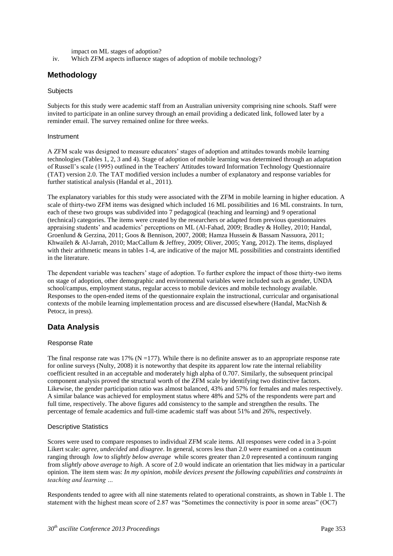impact on ML stages of adoption?

iv. Which ZFM aspects influence stages of adoption of mobile technology?

## **Methodology**

#### **Subjects**

Subjects for this study were academic staff from an Australian university comprising nine schools. Staff were invited to participate in an online survey through an email providing a dedicated link, followed later by a reminder email. The survey remained online for three weeks.

#### Instrument

A ZFM scale was designed to measure educators' stages of adoption and attitudes towards mobile learning technologies (Tables 1, 2, 3 and 4). Stage of adoption of mobile learning was determined through an adaptation of Russell's scale (1995) outlined in the Teachers' Attitudes toward Information Technology Questionnaire (TAT) version 2.0. The TAT modified version includes a number of explanatory and response variables for further statistical analysis (Handal et al., 2011).

The explanatory variables for this study were associated with the ZFM in mobile learning in higher education. A scale of thirty-two ZFM items was designed which included 16 ML possibilities and 16 ML constraints. In turn, each of these two groups was subdivided into 7 pedagogical (teaching and learning) and 9 operational (technical) categories. The items were created by the researchers or adapted from previous questionnaires appraising students' and academics' perceptions on ML (Al-Fahad, 2009; Bradley & Holley, 2010; Handal, Groenlund & Gerzina, 2011; Goos & Bennison, 2007, 2008; Hamza Hussein & Bassam Nassuora, 2011; Khwaileh & Al-Jarrah, 2010; MacCallum & Jeffrey, 2009; Oliver, 2005; Yang, 2012). The items, displayed with their arithmetic means in tables 1-4, are indicative of the major ML possibilities and constraints identified in the literature.

The dependent variable was teachers' stage of adoption. To further explore the impact of those thirty-two items on stage of adoption, other demographic and environmental variables were included such as gender, UNDA school/campus, employment status, regular access to mobile devices and mobile technology available. Responses to the open-ended items of the questionnaire explain the instructional, curricular and organisational contexts of the mobile learning implementation process and are discussed elsewhere (Handal, MacNish & Petocz, in press).

## **Data Analysis**

#### Response Rate

The final response rate was  $17\%$  (N = 177). While there is no definite answer as to an appropriate response rate for online surveys (Nulty, 2008) it is noteworthy that despite its apparent low rate the internal reliability coefficient resulted in an acceptable and moderately high alpha of 0.707. Similarly, the subsequent principal component analysis proved the structural worth of the ZFM scale by identifying two distinctive factors. Likewise, the gender participation ratio was almost balanced, 43% and 57% for females and males respectively. A similar balance was achieved for employment status where 48% and 52% of the respondents were part and full time, respectively. The above figures add consistency to the sample and strengthen the results. The percentage of female academics and full-time academic staff was about 51% and 26%, respectively.

#### Descriptive Statistics

Scores were used to compare responses to individual ZFM scale items. All responses were coded in a 3-point Likert scale: *agree*, *undecided* and *disagree*. In general, scores less than 2.0 were examined on a continuum ranging through *low* to *slightly below average* while scores greater than 2.0 represented a continuum ranging from *slightly above average* to *high*. A score of 2.0 would indicate an orientation that lies midway in a particular opinion. The item stem was: *In my opinion, mobile devices present the following capabilities and constraints in teaching and learning …*

Respondents tended to agree with all nine statements related to operational constraints, as shown in Table 1. The statement with the highest mean score of 2.87 was "Sometimes the connectivity is poor in some areas" (OC7)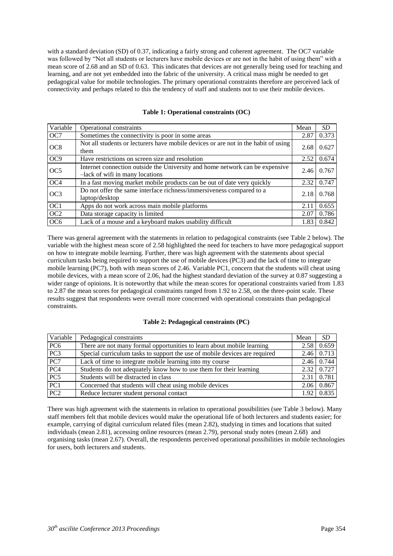with a standard deviation (SD) of 0.37, indicating a fairly strong and coherent agreement. The OC7 variable was followed by "Not all students or lecturers have mobile devices or are not in the habit of using them" with a mean score of 2.68 and an SD of 0.63. This indicates that devices are not generally being used for teaching and learning, and are not yet embedded into the fabric of the university. A critical mass might be needed to get pedagogical value for mobile technologies. The primary operational constraints therefore are perceived lack of connectivity and perhaps related to this the tendency of staff and students not to use their mobile devices.

| Variable        | Operational constraints                                                                                         | Mean | SD    |
|-----------------|-----------------------------------------------------------------------------------------------------------------|------|-------|
| OC7             | Sometimes the connectivity is poor in some areas                                                                | 2.87 | 0.373 |
| OC <sub>8</sub> | Not all students or lecturers have mobile devices or are not in the habit of using<br>them                      | 2.68 | 0.627 |
| OC <sub>9</sub> | Have restrictions on screen size and resolution                                                                 | 2.52 | 0.674 |
| OC <sub>5</sub> | Internet connection outside the University and home network can be expensive<br>-lack of wifi in many locations | 2.46 | 0.767 |
| OC <sub>4</sub> | In a fast moving market mobile products can be out of date very quickly                                         | 2.32 | 0.747 |
| OC <sub>3</sub> | Do not offer the same interface richness/immersiveness compared to a<br>laptop/desktop                          | 2.18 | 0.768 |
| OC1             | Apps do not work across main mobile platforms                                                                   | 2.11 | 0.655 |
| OC <sub>2</sub> | Data storage capacity is limited                                                                                | 2.07 | 0.786 |
| OC <sub>6</sub> | Lack of a mouse and a keyboard makes usability difficult                                                        | 1.83 | 0.842 |

**Table 1: Operational constraints (OC)**

There was general agreement with the statements in relation to pedagogical constraints (see Table 2 below). The variable with the highest mean score of 2.58 highlighted the need for teachers to have more pedagogical support on how to integrate mobile learning. Further, there was high agreement with the statements about special curriculum tasks being required to support the use of mobile devices (PC3) and the lack of time to integrate mobile learning (PC7), both with mean scores of 2.46. Variable PC1, concern that the students will cheat using mobile devices, with a mean score of 2.06, had the highest standard deviation of the survey at 0.87 suggesting a wider range of opinions. It is noteworthy that while the mean scores for operational constraints varied from 1.83 to 2.87 the mean scores for pedagogical constraints ranged from 1.92 to 2.58, on the three-point scale. These results suggest that respondents were overall more concerned with operational constraints than pedagogical constraints.

#### **Table 2: Pedagogical constraints (PC)**

| Variable        | Pedagogical constraints                                                    | Mean | <i>SD</i>         |
|-----------------|----------------------------------------------------------------------------|------|-------------------|
| PC <sub>6</sub> | There are not many formal opportunities to learn about mobile learning     | 2.58 | 0.659             |
| PC3             | Special curriculum tasks to support the use of mobile devices are required |      | 2.46 0.713        |
| PC7             | Lack of time to integrate mobile learning into my course                   |      | $2.46 \mid 0.744$ |
| PC <sub>4</sub> | Students do not adequately know how to use them for their learning         |      | $2.32 \mid 0.727$ |
| PC5             | Students will be distracted in class                                       |      | $2.31 \mid 0.781$ |
| PC1             | Concerned that students will cheat using mobile devices                    | 2.06 | 0.867             |
| PC <sub>2</sub> | Reduce lecturer student personal contact                                   |      | $1.92 \mid 0.835$ |

There was high agreement with the statements in relation to operational possibilities (see Table 3 below). Many staff members felt that mobile devices would make the operational life of both lecturers and students easier; for example, carrying of digital curriculum related files (mean 2.82), studying in times and locations that suited individuals (mean 2.81), accessing online resources (mean 2.79), personal study notes (mean 2.68) and organising tasks (mean 2.67). Overall, the respondents perceived operational possibilities in mobile technologies for users, both lecturers and students.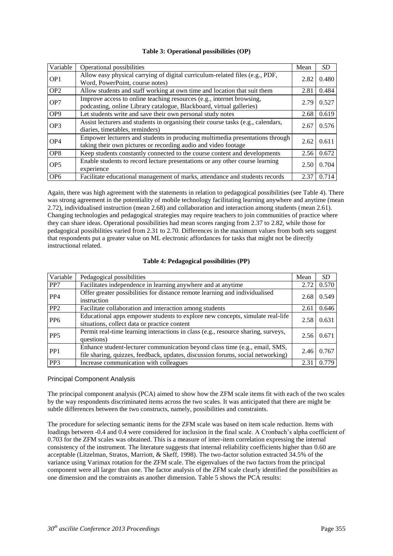| Variable        | Operational possibilities                                                                                                                      | Mean | SD    |
|-----------------|------------------------------------------------------------------------------------------------------------------------------------------------|------|-------|
| OP <sub>1</sub> | Allow easy physical carrying of digital curriculum-related files (e.g., PDF,<br>Word, PowerPoint, course notes)                                | 2.82 | 0.480 |
| OP <sub>2</sub> | Allow students and staff working at own time and location that suit them                                                                       | 2.81 | 0.484 |
| OP7             | Improve access to online teaching resources (e.g., internet browsing,<br>podcasting, online Library catalogue, Blackboard, virtual galleries)  | 2.79 | 0.527 |
| OP <sub>9</sub> | Let students write and save their own personal study notes                                                                                     | 2.68 | 0.619 |
| OP <sub>3</sub> | Assist lecturers and students in organising their course tasks (e.g., calendars,<br>diaries, timetables, reminders)                            | 2.67 | 0.576 |
| OP <sub>4</sub> | Empower lecturers and students in producing multimedia presentations through<br>taking their own pictures or recording audio and video footage | 2.62 | 0.611 |
| OP <sub>8</sub> | Keep students constantly connected to the course content and developments                                                                      | 2.56 | 0.672 |
| OP <sub>5</sub> | Enable students to record lecture presentations or any other course learning<br>experience                                                     | 2.50 | 0.704 |
| OP <sub>6</sub> | Facilitate educational management of marks, attendance and students records                                                                    | 2.37 | 0.714 |

#### **Table 3: Operational possibilities (OP)**

Again, there was high agreement with the statements in relation to pedagogical possibilities (see Table 4). There was strong agreement in the potentiality of mobile technology facilitating learning anywhere and anytime (mean 2.72), individualised instruction (mean 2.68) and collaboration and interaction among students (mean 2.61). Changing technologies and pedagogical strategies may require teachers to join communities of practice where they can share ideas. Operational possibilities had mean scores ranging from 2.37 to 2.82, while those for pedagogical possibilities varied from 2.31 to 2.70. Differences in the maximum values from both sets suggest that respondents put a greater value on ML electronic affordances for tasks that might not be directly instructional related.

#### **Table 4: Pedagogical possibilities (PP)**

| Variable        | Pedagogical possibilities                                                                                                                                      | Mean | SD.   |
|-----------------|----------------------------------------------------------------------------------------------------------------------------------------------------------------|------|-------|
| PP7             | Facilitates independence in learning anywhere and at anytime                                                                                                   | 2.72 | 0.570 |
| PP <sub>4</sub> | Offer greater possibilities for distance remote learning and individualised<br>instruction                                                                     | 2.68 | 0.549 |
| PP <sub>2</sub> | Facilitate collaboration and interaction among students                                                                                                        | 2.61 | 0.646 |
| PP <sub>6</sub> | Educational apps empower students to explore new concepts, simulate real-life<br>situations, collect data or practice content                                  | 2.58 | 0.631 |
| PP <sub>5</sub> | Permit real-time learning interactions in class (e.g., resource sharing, surveys,<br>questions)                                                                | 2.56 | 0.671 |
| PP <sub>1</sub> | Enhance student-lecturer communication beyond class time (e.g., email, SMS,<br>file sharing, quizzes, feedback, updates, discussion forums, social networking) | 2.46 | 0.767 |
| PP <sub>3</sub> | Increase communication with colleagues                                                                                                                         | 2.31 | 0.779 |

#### Principal Component Analysis

The principal component analysis (PCA) aimed to show how the ZFM scale items fit with each of the two scales by the way respondents discriminated items across the two scales. It was anticipated that there are might be subtle differences between the two constructs, namely, possibilities and constraints.

The procedure for selecting semantic items for the ZFM scale was based on item scale reduction. Items with loadings between -0.4 and 0.4 were considered for inclusion in the final scale. A Cronbach's alpha coefficient of 0.703 for the ZFM scales was obtained. This is a measure of inter-item correlation expressing the internal consistency of the instrument. The literature suggests that internal reliability coefficients higher than 0.60 are acceptable (Litzelman, Stratos, Marriott, & Skeff, 1998). The two-factor solution extracted 34.5% of the variance using Varimax rotation for the ZFM scale. The eigenvalues of the two factors from the principal component were all larger than one. The factor analysis of the ZFM scale clearly identified the possibilities as one dimension and the constraints as another dimension. Table 5 shows the PCA results: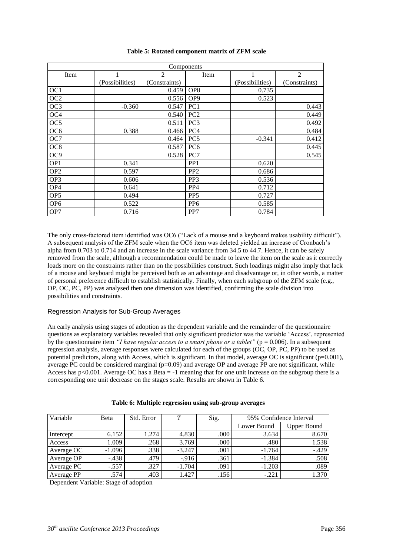| Components      |                 |               |                 |                 |                |  |
|-----------------|-----------------|---------------|-----------------|-----------------|----------------|--|
| Item            | 1               | 2             | Item            | 1               | $\overline{2}$ |  |
|                 | (Possibilities) | (Constraints) |                 | (Possibilities) | (Constraints)  |  |
| OC <sub>1</sub> |                 | 0.459         | OP <sub>8</sub> | 0.735           |                |  |
| OC <sub>2</sub> |                 | 0.556         | OP <sub>9</sub> | 0.523           |                |  |
| OC <sub>3</sub> | $-0.360$        | 0.547         | PC <sub>1</sub> |                 | 0.443          |  |
| OC <sub>4</sub> |                 | 0.540         | PC <sub>2</sub> |                 | 0.449          |  |
| OC <sub>5</sub> |                 | 0.511         | PC <sub>3</sub> |                 | 0.492          |  |
| OC <sub>6</sub> | 0.388           | 0.466         | PC <sub>4</sub> |                 | 0.484          |  |
| OC7             |                 | 0.464         | PC <sub>5</sub> | $-0.341$        | 0.412          |  |
| OC <sub>8</sub> |                 | 0.587         | PC <sub>6</sub> |                 | 0.445          |  |
| OC <sub>9</sub> |                 | 0.528         | PC7             |                 | 0.545          |  |
| OP <sub>1</sub> | 0.341           |               | PP <sub>1</sub> | 0.620           |                |  |
| OP <sub>2</sub> | 0.597           |               | PP <sub>2</sub> | 0.686           |                |  |
| OP3             | 0.606           |               | PP <sub>3</sub> | 0.536           |                |  |
| OP <sub>4</sub> | 0.641           |               | PP <sub>4</sub> | 0.712           |                |  |
| OP <sub>5</sub> | 0.494           |               | PP <sub>5</sub> | 0.727           |                |  |
| OP <sub>6</sub> | 0.522           |               | PP <sub>6</sub> | 0.585           |                |  |
| OP7             | 0.716           |               | PP7             | 0.784           |                |  |

#### **Table 5: Rotated component matrix of ZFM scale**

The only cross-factored item identified was OC6 ("Lack of a mouse and a keyboard makes usability difficult"). A subsequent analysis of the ZFM scale when the OC6 item was deleted yielded an increase of Cronbach's alpha from 0.703 to 0.714 and an increase in the scale variance from 34.5 to 44.7. Hence, it can be safely removed from the scale, although a recommendation could be made to leave the item on the scale as it correctly loads more on the constraints rather than on the possibilities construct. Such loadings might also imply that lack of a mouse and keyboard might be perceived both as an advantage and disadvantage or, in other words, a matter of personal preference difficult to establish statistically. Finally, when each subgroup of the ZFM scale (e.g., OP, OC, PC, PP) was analysed then one dimension was identified, confirming the scale division into possibilities and constraints.

#### Regression Analysis for Sub-Group Averages

An early analysis using stages of adoption as the dependent variable and the remainder of the questionnaire questions as explanatory variables revealed that only significant predictor was the variable 'Access', represented by the questionnaire item *"I have regular access to a smart phone or a tablet"* ( $p = 0.006$ ). In a subsequent regression analysis, average responses were calculated for each of the groups (OC, OP, PC, PP) to be used as potential predictors, along with Access, which is significant. In that model, average OC is significant (p=0.001), average PC could be considered marginal  $(p=0.09)$  and average OP and average PP are not significant, while Access has p<0.001. Average OC has a Beta = -1 meaning that for one unit increase on the subgroup there is a corresponding one unit decrease on the stages scale. Results are shown in Table 6.

| Variable   | Beta     | Std. Error | T        | Sig. | 95% Confidence Interval |             |
|------------|----------|------------|----------|------|-------------------------|-------------|
|            |          |            |          |      | Lower Bound             | Upper Bound |
| Intercept  | 6.152    | 1.274      | 4.830    | .000 | 3.634                   | 8.670       |
| Access     | 1.009    | .268       | 3.769    | .000 | .480                    | 1.538       |
| Average OC | $-1.096$ | .338       | $-3.247$ | .001 | $-1.764$                | $-.429$     |
| Average OP | $-.438$  | .479       | $-916$   | .361 | $-1.384$                | .508        |
| Average PC | $-.557$  | .327       | $-1.704$ | .091 | $-1.203$                | .089        |
| Average PP | .574     | .403       | 1.427    | .156 | $-.221$                 | 1.370       |

#### **Table 6: Multiple regression using sub-group averages**

Dependent Variable: Stage of adoption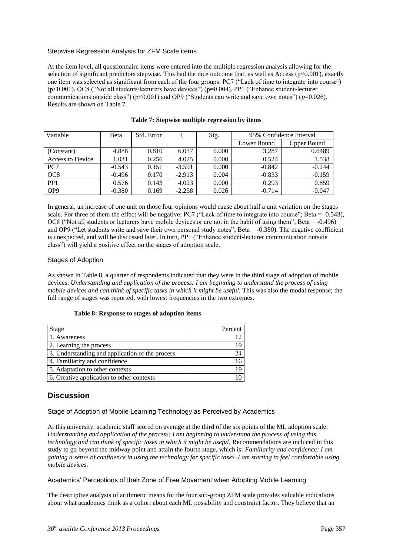#### Stepwise Regression Analysis for ZFM Scale items

At the item level, all questionnaire items were entered into the multiple regression analysis allowing for the selection of significant predictors stepwise. This had the nice outcome that, as well as Access ( $p<0.001$ ), exactly one item was selected as significant from each of the four groups: PC7 ("Lack of time to integrate into course') (p<0.001), OC8 ("Not all students/lecturers have devices") (p=0.004), PP1 ("Enhance student-lecturer communications outside class") (p<0.001) and OP9 ("Students can write and save own notes") (p=0.026). Results are shown on Table 7.

| Variable         | Beta     | Std. Error |          | Sig.  | 95% Confidence Interval |             |
|------------------|----------|------------|----------|-------|-------------------------|-------------|
|                  |          |            |          |       | Lower Bound             | Upper Bound |
| (Constant)       | 4.888    | 0.810      | 6.037    | 0.000 | 3.287                   | 0.6489      |
| Access to Device | 1.031    | 0.256      | 4.025    | 0.000 | 0.524                   | 1.538       |
| PC7              | $-0.543$ | 0.151      | $-3.591$ | 0.000 | $-0.842$                | $-0.244$    |
| OC <sub>8</sub>  | $-0.496$ | 0.170      | $-2.913$ | 0.004 | $-0.833$                | $-0.159$    |
| PP <sub>1</sub>  | 0.576    | 0.143      | 4.023    | 0.000 | 0.293                   | 0.859       |
| OP <sub>9</sub>  | $-0.380$ | 0.169      | $-2.258$ | 0.026 | $-0.714$                | $-0.047$    |

#### **Table 7: Stepwise multiple regression by items**

In general, an increase of one unit on those four opinions would cause about half a unit variation on the stages scale. For three of them the effect will be negative: PC7 ("Lack of time to integrate into course"; Beta = -0.543), OC8 ("Not all students or lecturers have mobile devices or are not in the habit of using them"; Beta = -0.496) and OP9 ("Let students write and save their own personal study notes"; Beta = -0.380). The negative coefficient is unexpected, and will be discussed later. In turn, PP1 ("Enhance student-lecturer communication outside class") will yield a positive effect on the stages of adoption scale.

#### Stages of Adoption

As shown in Table 8, a quarter of respondents indicated that they were in the third stage of adoption of mobile devices: *Understanding and application of the process: I am beginning to understand the process of using mobile devices and can think of specific tasks in which it might be useful. This was also the modal response; the* full range of stages was reported, with lowest frequencies in the two extremes.

#### **Table 8: Response to stages of adoption items**

| Stage                                           | Percent |
|-------------------------------------------------|---------|
| 1. Awareness                                    | 12      |
| 2. Learning the process                         | 19      |
| 3. Understanding and application of the process | 24      |
| 4. Familiarity and confidence                   | 16      |
| 5. Adaptation to other contexts                 | 19      |
| 6. Creative application to other contexts       |         |

# **Discussion**

#### Stage of Adoption of Mobile Learning Technology as Perceived by Academics

At this university, academic staff scored on average at the third of the six points of the ML adoption scale: *Understanding and application of the process: I am beginning to understand the process of using this technology and can think of specific tasks in which it might be useful.* Recommendations are incluced in this study to go beyond the midway point and attain the fourth stage, which is: *Familiarity and confidence: I am gaining a sense of confidence in using the technology for specific tasks. I am starting to feel comfortable using mobile devices.*

#### Academics' Perceptions of their Zone of Free Movement when Adopting Mobile Learning

The descriptive analysis of arithmetic means for the four sub-group ZFM scale provides valuable indications about what academics think as a cohort about each ML possibility and constraint factor. They believe that an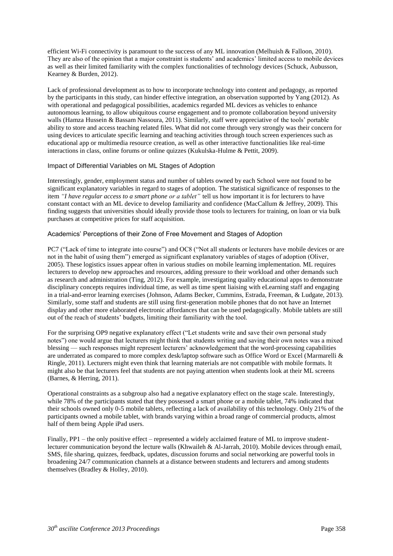efficient Wi-Fi connectivity is paramount to the success of any ML innovation (Melhuish & Falloon, 2010). They are also of the opinion that a major constraint is students' and academics' limited access to mobile devices as well as their limited familiarity with the complex functionalities of technology devices (Schuck, Aubusson, Kearney & Burden, 2012).

Lack of professional development as to how to incorporate technology into content and pedagogy, as reported by the participants in this study, can hinder effective integration, an observation supported by Yang (2012). As with operational and pedagogical possibilities, academics regarded ML devices as vehicles to enhance autonomous learning, to allow ubiquitous course engagement and to promote collaboration beyond university walls (Hamza Hussein & Bassam Nassoura, 2011). Similarly, staff were appreciative of the tools' portable ability to store and access teaching related files. What did not come through very strongly was their concern for using devices to articulate specific learning and teaching activities through touch screen experiences such as educational app or multimedia resource creation, as well as other interactive functionalities like real-time interactions in class, online forums or online quizzes (Kukulska-Hulme & Pettit, 2009).

#### Impact of Differential Variables on ML Stages of Adoption

Interestingly, gender, employment status and number of tablets owned by each School were not found to be significant explanatory variables in regard to stages of adoption. The statistical significance of responses to the item *"I have regular access to a smart phone or a tablet"* tell us how important it is for lecturers to have constant contact with an ML device to develop familiarity and confidence (MacCallum & Jeffrey, 2009). This finding suggests that universities should ideally provide those tools to lecturers for training, on loan or via bulk purchases at competitive prices for staff acquisition.

#### Academics' Perceptions of their Zone of Free Movement and Stages of Adoption

PC7 ("Lack of time to integrate into course") and OC8 ("Not all students or lecturers have mobile devices or are not in the habit of using them") emerged as significant explanatory variables of stages of adoption (Oliver, 2005). These logistics issues appear often in various studies on mobile learning implementation. ML requires lecturers to develop new approaches and resources, adding pressure to their workload and other demands such as research and administration (Ting, 2012). For example, investigating quality educational apps to demonstrate disciplinary concepts requires individual time, as well as time spent liaising with eLearning staff and engaging in a trial-and-error learning exercises (Johnson, Adams Becker, Cummins, Estrada, Freeman, & Ludgate, 2013). Similarly, some staff and students are still using first-generation mobile phones that do not have an Internet display and other more elaborated electronic affordances that can be used pedagogically. Mobile tablets are still out of the reach of students' budgets, limiting their familiarity with the tool.

For the surprising OP9 negative explanatory effect ("Let students write and save their own personal study notes") one would argue that lecturers might think that students writing and saving their own notes was a mixed blessing — such responses might represent lecturers' acknowledgement that the word-processing capabilities are underrated as compared to more complex desk/laptop software such as Office Word or Excel (Marmarelli & Ringle, 2011). Lecturers might even think that learning materials are not compatible with mobile formats. It might also be that lecturers feel that students are not paying attention when students look at their ML screens (Barnes, & Herring, 2011).

Operational constraints as a subgroup also had a negative explanatory effect on the stage scale. Interestingly, while 78% of the participants stated that they possessed a smart phone or a mobile tablet, 74% indicated that their schools owned only 0-5 mobile tablets, reflecting a lack of availability of this technology. Only 21% of the participants owned a mobile tablet, with brands varying within a broad range of commercial products, almost half of them being Apple iPad users.

Finally, PP1 – the only positive effect – represented a widely acclaimed feature of ML to improve studentlecturer communication beyond the lecture walls (Khwaileh & Al-Jarrah, 2010). Mobile devices through email, SMS, file sharing, quizzes, feedback, updates, discussion forums and social networking are powerful tools in broadening 24/7 communication channels at a distance between students and lecturers and among students themselves (Bradley & Holley, 2010).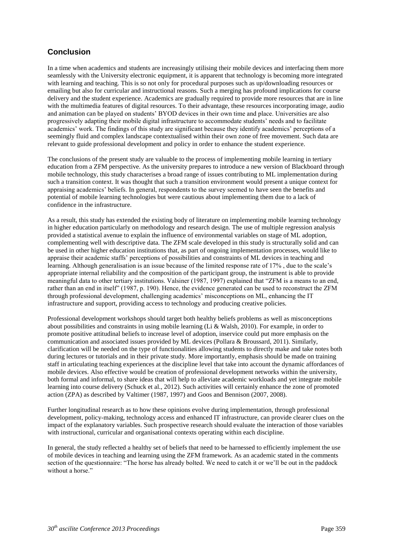# **Conclusion**

In a time when academics and students are increasingly utilising their mobile devices and interfacing them more seamlessly with the University electronic equipment, it is apparent that technology is becoming more integrated with learning and teaching. This is so not only for procedural purposes such as up/downloading resources or emailing but also for curricular and instructional reasons. Such a merging has profound implications for course delivery and the student experience. Academics are gradually required to provide more resources that are in line with the multimedia features of digital resources. To their advantage, these resources incorporating image, audio and animation can be played on students' BYOD devices in their own time and place. Universities are also progressively adapting their mobile digital infrastructure to accommodate students' needs and to facilitate academics' work. The findings of this study are significant because they identify academics' perceptions of a seemingly fluid and complex landscape contextualised within their own zone of free movement. Such data are relevant to guide professional development and policy in order to enhance the student experience.

The conclusions of the present study are valuable to the process of implementing mobile learning in tertiary education from a ZFM perspective. As the university prepares to introduce a new version of Blackboard through mobile technology, this study characterises a broad range of issues contributing to ML implementation during such a transition context. It was thought that such a transition environment would present a unique context for appraising academics' beliefs. In general, respondents to the survey seemed to have seen the benefits and potential of mobile learning technologies but were cautious about implementing them due to a lack of confidence in the infrastructure.

As a result, this study has extended the existing body of literature on implementing mobile learning technology in higher education particularly on methodology and research design. The use of multiple regression analysis provided a statistical avenue to explain the influence of environmental variables on stage of ML adoption, complementing well with descriptive data. The ZFM scale developed in this study is structurally solid and can be used in other higher education institutions that, as part of ongoing implementation processes, would like to appraise their academic staffs' perceptions of possibilities and constraints of ML devices in teaching and learning. Although generalisation is an issue because of the limited response rate of 17% , due to the scale's appropriate internal reliability and the composition of the participant group, the instrument is able to provide meaningful data to other tertiary institutions. Valsiner (1987, 1997) explained that "ZFM is a means to an end, rather than an end in itself" (1987, p. 190). Hence, the evidence generated can be used to reconstruct the ZFM through professional development, challenging academics' misconceptions on ML, enhancing the IT infrastructure and support, providing access to technology and producing creative policies.

Professional development workshops should target both healthy beliefs problems as well as misconceptions about possibilities and constraints in using mobile learning (Li & Walsh, 2010). For example, in order to promote positive attitudinal beliefs to increase level of adoption, inservice could put more emphasis on the communication and associated issues provided by ML devices (Pollara & Broussard, 2011). Similarly, clarification will be needed on the type of functionalities allowing students to directly make and take notes both during lectures or tutorials and in their private study. More importantly, emphasis should be made on training staff in articulating teaching experiences at the discipline level that take into account the dynamic affordances of mobile devices. Also effective would be creation of professional development networks within the university, both formal and informal, to share ideas that will help to alleviate academic workloads and yet integrate mobile learning into course delivery (Schuck et al., 2012). Such activities will certainly enhance the zone of promoted action (ZPA) as described by Valtimer (1987, 1997) and Goos and Bennison (2007, 2008).

Further longitudinal research as to how these opinions evolve during implementation, through professional development, policy-making, technology access and enhanced IT infrastructure, can provide clearer clues on the impact of the explanatory variables. Such prospective research should evaluate the interaction of those variables with instructional, curricular and organisational contexts operating within each discipline.

In general, the study reflected a healthy set of beliefs that need to be harnessed to efficiently implement the use of mobile devices in teaching and learning using the ZFM framework. As an academic stated in the comments section of the questionnaire: "The horse has already bolted. We need to catch it or we'll be out in the paddock without a horse."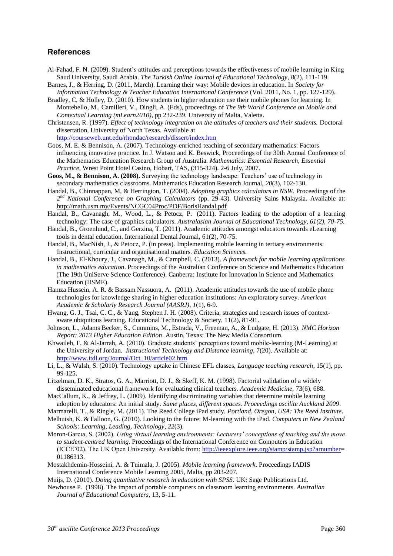## **References**

- Al-Fahad, F. N. (2009). Student's attitudes and perceptions towards the effectiveness of mobile learning in King Saud University, Saudi Arabia. *The Turkish Online Journal of Educational Technology*, *8*(2), 111-119.
- Barnes, J., & Herring, D. (2011, March). Learning their way: Mobile devices in education. In *Society for Information Technology & Teacher Education International Conference* (Vol. 2011, No. 1, pp. 127-129).
- Bradley, C, & Holley, D. (2010). How students in higher education use their mobile phones for learning. In Montebello, M., Camilleri, V., Dingli, A. (Eds), proceedings of *The 9th World Conference on Mobile and Contextual Learning (mLearn2010)*, pp 232-239. University of Malta, Valetta.

Christensen, R. (1997). *Effect of technology integration on the attitudes of teachers and their students.* Doctoral dissertation, University of North Texas. Available at

<http://courseweb.unt.edu/rhondac/research/dissert/index.htm>

Goos, M. E. & Bennison, A. (2007). Technology-enriched teaching of secondary mathematics: Factors influencing innovative practice. In J. Watson and K. Beswick, Proceedings of the 30th Annual Conference of the Mathematics Education Research Group of Australia. *Mathematics: Essential Research, Essential Practice*, Wrest Point Hotel Casino, Hobart, TAS, (315-324). 2-6 July, 2007.

- **Goos, M., & Bennison, A. (2008).** Surveying the technology landscape: Teachers' use of technology in secondary mathematics classrooms. Mathematics Education Research Journal, *20*(3), 102-130.
- Handal, B., Chinnappan, M, & Herrington, T. (2004). *Adopting graphics calculators in NSW.* Proceedings of the *2 nd National Conference on Graphing Calculators* (pp. 29-43). University Sains Malaysia. Available at: <http://math.usm.my/Events/NCGC04Proc/PDF/BorisHandal.pdf>
- Handal, B., Cavanagh, M., Wood, L., & Petocz, P. (2011). Factors leading to the adoption of a learning technology: The case of graphics calculators. *Australasian Journal of Educational Technology, 61(2), 70-75.*
- Handal, B., Groenlund, C., and Gerzina, T. (2011). Academic attitudes amongst educators towards eLearning tools in dental education. International Dental Journal*,* 61(2), 70-75.
- Handal, B., MacNish, J., & Petocz, P. (in press). Implementing mobile learning in tertiary environments: Instructional, curricular and organisational matters. *Education Sciences.*
- Handal, B., El-Khoury, J., Cavanagh, M., & Campbell, C. (2013). *A framework for mobile learning applications in mathematics education*. Proceedings of the Australian Conference on Science and Mathematics Education (The 19th UniServe Science Conference). Canberra: Institute for Innovation in Science and Mathematics Education (IISME).
- Hamza Hussein, A. R. & Bassam Nassuora, A. (2011). Academic attitudes towards the use of mobile phone technologies for knowledge sharing in higher education institutions: An exploratory survey. *American Academic & Scholarly Research Journal (AASRJ)*, *1*(1), 6-9.
- Hwang, G. J., Tsai, C. C., & Yang, Stephen J. H. (2008). Criteria, strategies and research issues of contextaware ubiquitous learning. Educational Technology & Society, 11(2), 81-91.
- Johnson, L., Adams Becker, S., Cummins, M., Estrada, V., Freeman, A., & Ludgate, H. (2013). *NMC Horizon Report: 2013 Higher Education Edition*. Austin, Texas: The New Media Consortium.
- Khwaileh, F. & Al-Jarrah, A. (2010). Graduate students' perceptions toward mobile-learning (M-Learning) at the University of Jordan. *Instructional Technology and Distance learning*, 7(20). Available at: [http://www.itdl.org/Journal/Oct\\_10/article02.htm](http://www.itdl.org/Journal/Oct_10/article02.htm)
- Li, L., & Walsh, S. (2010). Technology uptake in Chinese EFL classes, *Language teaching research*, 15(1), pp. 99-125.
- Litzelman, D. K., Stratos, G. A., Marriott, D. J., & Skeff, K. M. (1998). Factorial validation of a widely disseminated educational framework for evaluating clinical teachers. *Academic Medicine,* 73(6), 688.

MacCallum, K., & Jeffrey, L. (2009). Identifying discriminating variables that determine mobile learning adoption by educators: An initial study. *Same places, different spaces. Proceedings ascilite Auckland 2009*.

Marmarelli, T., & Ringle, M. (2011). The Reed College iPad study. *Portland, Oregon, USA: The Reed Institute*.

- Melhuish, K. & Falloon, G. (2010). Looking to the future: M-learning with the iPad. *Computers in New Zealand Schools: Learning, Leading, Technology*, *22*(3).
- Moron-Garcıa, S. (2002). *Using virtual learning environments: Lecturers' conceptions of teaching and the move to student-centred learning.* Proceedings of the International Conference on Computers in Education (ICCE'02). The UK Open University. Available from: [http://ieeexplore.ieee.org/stamp/stamp.jsp?arnumber=](http://ieeexplore.ieee.org/stamp/stamp.jsp?arnumber) 01186313.
- Mostakhdemin-Hosseini, A. & Tuimala, J. (2005). *Mobile learning framework*. Proceedings IADIS International Conference Mobile Learning 2005, Malta, pp 203-207.

Muijs, D. (2010). *Doing quantitative research in education with SPSS*. UK: Sage Publications Ltd.

Newhouse P. (1998). The impact of portable computers on classroom learning environments. *Australian Journal of Educational Computers*, 13, 5-11.